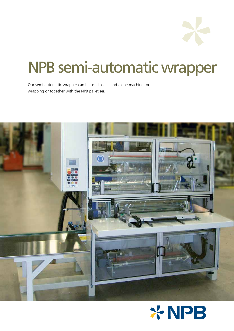# NPB semi-automatic wrapper

Our semi-automatic wrapper can be used as a stand-alone machine for wrapping or together with the NPB palletiser.